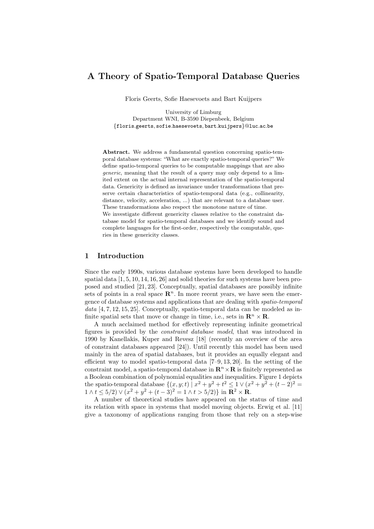# **A Theory of Spatio-Temporal Database Queries**

Floris Geerts, Sofie Haesevoets and Bart Kuijpers

University of Limburg Department WNI, B-3590 Diepenbeek, Belgium {floris.geerts, sofie.haesevoets, bart.kuijpers}@luc.ac.be

**Abstract.** We address a fundamental question concerning spatio-temporal database systems: "What are exactly spatio-temporal queries?" We define spatio-temporal queries to be computable mappings that are also generic, meaning that the result of a query may only depend to a limited extent on the actual internal representation of the spatio-temporal data. Genericity is defined as invariance under transformations that preserve certain characteristics of spatio-temporal data (e.g., collinearity, distance, velocity, acceleration, ...) that are relevant to a database user. These transformations also respect the monotone nature of time. We investigate different genericity classes relative to the constraint da-

tabase model for spatio-temporal databases and we identify sound and complete languages for the first-order, respectively the computable, queries in these genericity classes.

# **1 Introduction**

Since the early 1990s, various database systems have been developed to handle spatial data [1, 5, 10, 14, 16, 26] and solid theories for such systems have been proposed and studied [21, 23]. Conceptually, spatial databases are possibly infinite sets of points in a real space  $\mathbb{R}^n$ . In more recent years, we have seen the emergence of database systems and applications that are dealing with *spatio-temporal data* [4, 7, 12, 15, 25]. Conceptually, spatio-temporal data can be modeled as infinite spatial sets that move or change in time, i.e., sets in  $\mathbb{R}^n \times \mathbb{R}$ .

A much acclaimed method for effectively representing infinite geometrical figures is provided by the *constraint database model*, that was introduced in 1990 by Kanellakis, Kuper and Revesz [18] (recently an overview of the area of constraint databases appeared [24]). Until recently this model has been used mainly in the area of spatial databases, but it provides an equally elegant and efficient way to model spatio-temporal data [7–9, 13, 20]. In the setting of the constraint model, a spatio-temporal database in  $\mathbb{R}^n \times \mathbb{R}$  is finitely represented as a Boolean combination of polynomial equalities and inequalities. Figure 1 depicts the spatio-temporal database  $\{(x, y; t) | x^2 + y^2 + t^2 \leq 1 \vee (x^2 + y^2 + (t - 2)^2 = 1 \vee (x^2 + 1) \vee (x^2 + 1) \vee (x^2 + 1) \vee (x^2 + 1) \vee (x^2 + 1) \vee (x^2 + 1) \vee (x^2 + 1) \vee (x^2 + 1) \vee (x^2 + 1) \vee (x^2 + 1) \vee (x^2 + 1) \vee (x^2 + 1) \vee (x^2 + 1) \$  $1 \wedge t \le 5/2$ )  $\vee (x^2 + y^2 + (t-3)^2) = 1 \wedge t > 5/2$ } in  $\overline{\mathbb{R}^2} \times \mathbb{R}$ .

A number of theoretical studies have appeared on the status of time and its relation with space in systems that model moving objects. Erwig et al. [11] give a taxonomy of applications ranging from those that rely on a step-wise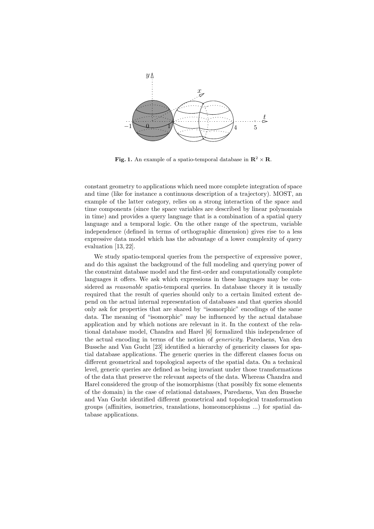

**Fig. 1.** An example of a spatio-temporal database in  $\mathbb{R}^2 \times \mathbb{R}$ .

constant geometry to applications which need more complete integration of space and time (like for instance a continuous description of a trajectory). MOST, an example of the latter category, relies on a strong interaction of the space and time components (since the space variables are described by linear polynomials in time) and provides a query language that is a combination of a spatial query language and a temporal logic. On the other range of the spectrum, variable independence (defined in terms of orthographic dimension) gives rise to a less expressive data model which has the advantage of a lower complexity of query evaluation [13, 22].

We study spatio-temporal queries from the perspective of expressive power, and do this against the background of the full modeling and querying power of the constraint database model and the first-order and computationally complete languages it offers. We ask which expressions in these languages may be considered as *reasonable* spatio-temporal queries. In database theory it is usually required that the result of queries should only to a certain limited extent depend on the actual internal representation of databases and that queries should only ask for properties that are shared by "isomorphic" encodings of the same data. The meaning of "isomorphic" may be influenced by the actual database application and by which notions are relevant in it. In the context of the relational database model, Chandra and Harel [6] formalized this independence of the actual encoding in terms of the notion of *genericity*. Paredaens, Van den Bussche and Van Gucht [23] identified a hierarchy of genericity classes for spatial database applications. The generic queries in the different classes focus on different geometrical and topological aspects of the spatial data. On a technical level, generic queries are defined as being invariant under those transformations of the data that preserve the relevant aspects of the data. Whereas Chandra and Harel considered the group of the isomorphisms (that possibly fix some elements of the domain) in the case of relational databases, Paredaens, Van den Bussche and Van Gucht identified different geometrical and topological transformation groups (affinities, isometries, translations, homeomorphisms ...) for spatial database applications.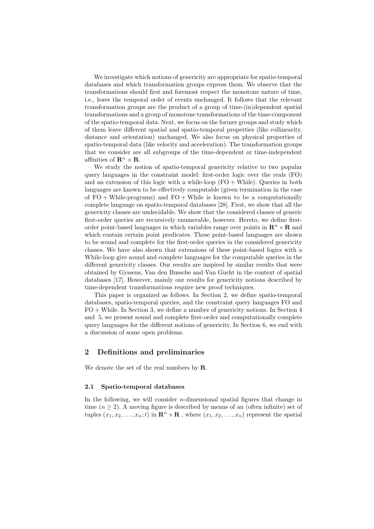We investigate which notions of genericity are appropriate for spatio-temporal databases and which transformation groups express them. We observe that the transformations should first and foremost respect the monotone nature of time, i.e., leave the temporal order of events unchanged. It follows that the relevant transformation groups are the product of a group of time-(in)dependent spatial transformations and a group of monotone transformations of the time-component of the spatio-temporal data. Next, we focus on the former groups and study which of them leave different spatial and spatio-temporal properties (like collinearity, distance and orientation) unchanged. We also focus on physical properties of spatio-temporal data (like velocity and acceleration). The transformation groups that we consider are all subgroups of the time-dependent or time-independent affinities of  $\mathbf{R}^n \times \mathbf{R}$ .

We study the notion of spatio-temporal genericity relative to two popular query languages in the constraint model: first-order logic over the reals (FO) and an extension of this logic with a while-loop  $(FO + White)$ . Queries in both languages are known to be effectively computable (given termination in the case of  $FO + White-programs)$  and  $FO + White$  is known to be a computationally complete language on spatio-temporal databases [28]. First, we show that all the genericity classes are undecidable. We show that the considered classes of generic first-order queries are recursively enumerable, however. Hereto, we define firstorder point-based languages in which variables range over points in  $\mathbb{R}^n \times \mathbb{R}$  and which contain certain point predicates. These point-based languages are shown to be sound and complete for the first-order queries in the considered genericity classes. We have also shown that extensions of these point-based logics with a While-loop give sound and complete languages for the computable queries in the different genericity classes. Our results are inspired by similar results that were obtained by Gyssens, Van den Bussche and Van Gucht in the context of spatial databases [17]. However, mainly our results for genericity notions described by time-dependent transformations require new proof techniques.

This paper is organized as follows. In Section 2, we define spatio-temporal databases, spatio-temporal queries, and the constraint query languages FO and FO + While. In Section 3, we define a number of genericity notions. In Section 4 and 5, we present sound and complete first-order and computationally complete query languages for the different notions of genericity. In Section 6, we end with a discussion of some open problems.

# **2 Definitions and preliminaries**

We denote the set of the real numbers by **R**.

#### **2.1 Spatio-temporal databases**

In the following, we will consider *n*-dimensional spatial figures that change in time  $(n \geq 2)$ . A moving figure is described by means of an (often infinite) set of tuples  $(x_1, x_2, \ldots, x_n; t)$  in  $\mathbb{R}^n \times \mathbb{R}$ , where  $(x_1, x_2, \ldots, x_n)$  represent the spatial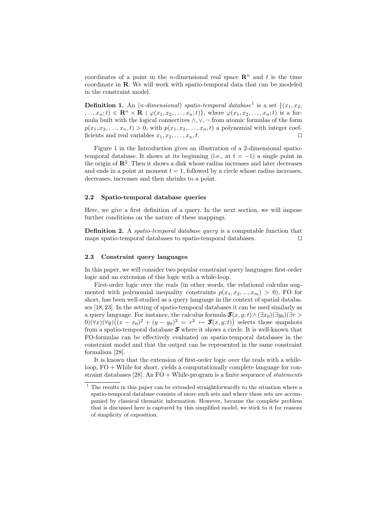coordinates of a point in the *n*-dimensional real space  $\mathbb{R}^n$  and t is the time coordinate in **R**. We will work with spatio-temporal data that can be modeled in the constraint model.

**Definition 1.** An (*n*-dimensional) *spatio-temporal database*<sup>1</sup> is a set  $\{(x_1, x_2, ...)$  $\ldots, x_n; t) \in \mathbb{R}^n \times \mathbb{R} \mid \varphi(x_1, x_2, \ldots, x_n; t) \}$ , where  $\varphi(x_1, x_2, \ldots, x_n; t)$  is a formula built with the logical connectives  $\land$ ,  $\lor$ ,  $\neg$  from atomic formulas of the form  $p(x_1, x_2,...,x_n, t) > 0$ , with  $p(x_1, x_2,...,x_n, t)$  a polynomial with integer coefficients and real variables  $x_1, x_2, \ldots, x_n, t$ .

Figure 1 in the Introduction gives an illustration of a 2-dimensional spatiotemporal database. It shows at its beginning (i.e., at  $t = -1$ ) a single point in the origin of  $\mathbb{R}^2$ . Then it shows a disk whose radius increases and later decreases and ends in a point at moment  $t = 1$ , followed by a circle whose radius increases. decreases, increases and then shrinks to a point.

### **2.2 Spatio-temporal database queries**

Here, we give a first definition of a query. In the next section, we will impose further conditions on the nature of these mappings.

**Definition 2.** A *spatio-temporal database query* is a computable function that maps spatio-temporal databases to spatio-temporal databases.

### **2.3 Constraint query languages**

In this paper, we will consider two popular constraint query languages: first-order logic and an extension of this logic with a while-loop.

First-order logic over the reals (in other words, the relational calculus augmented with polynomial inequality constraints  $p(x_1, x_2, ..., x_m) > 0$ , FO for short, has been well-studied as a query language in the context of spatial databases [18, 23]. In the setting of spatio-temporal databases it can be used similarly as a query language. For instance, the calculus formula  $\mathfrak{F}(x, y; t) \wedge (\exists x_0)(\exists y_0)(\exists r >$  $0)(\forall x)(\forall y)( (x - x_0)^2 + (y - y_0)^2 = r^2 \leftrightarrow \mathcal{F}(x, y; t))$  selects those snapshots from a spatio-temporal database  $\mathcal T$  where it shows a circle. It is well-known that FO-formulas can be effectively evaluated on spatio-temporal databases in the constraint model and that the output can be represented in the same constraint formalism [28].

It is known that the extension of first-order logic over the reals with a whileloop,  $FO +$ While for short, yields a computationally complete language for constraint databases [28]. An FO + While-program is a finite sequence of *statements*

 $1$  The results in this paper can be extended straightforwardly to the situation where a spatio-temporal database consists of more such sets and where these sets are accompanied by classical thematic information. However, because the complete problem that is discussed here is captured by this simplified model, we stick to it for reasons of simplicity of exposition.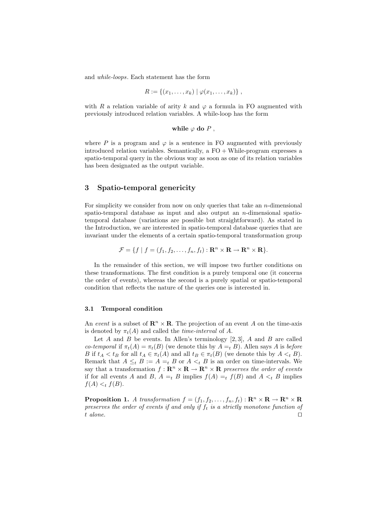and *while-loops*. Each statement has the form

$$
R := \{(x_1, \ldots, x_k) | \varphi(x_1, \ldots, x_k)\},\,
$$

with R a relation variable of arity k and  $\varphi$  a formula in FO augmented with previously introduced relation variables. A while-loop has the form

while 
$$
\varphi
$$
 do  $P$ ,

where P is a program and  $\varphi$  is a sentence in FO augmented with previously introduced relation variables. Semantically, a  $FO +$  While-program expresses a spatio-temporal query in the obvious way as soon as one of its relation variables has been designated as the output variable.

## **3 Spatio-temporal genericity**

For simplicity we consider from now on only queries that take an  $n$ -dimensional spatio-temporal database as input and also output an n-dimensional spatiotemporal database (variations are possible but straightforward). As stated in the Introduction, we are interested in spatio-temporal database queries that are invariant under the elements of a certain spatio-temporal transformation group

$$
\mathcal{F} = \{f \mid f = (f_1, f_2, \dots, f_n, f_t) : \mathbf{R}^n \times \mathbf{R} \to \mathbf{R}^n \times \mathbf{R} \}.
$$

In the remainder of this section, we will impose two further conditions on these transformations. The first condition is a purely temporal one (it concerns the order of events), whereas the second is a purely spatial or spatio-temporal condition that reflects the nature of the queries one is interested in.

### **3.1 Temporal condition**

An *event* is a subset of  $\mathbb{R}^n \times \mathbb{R}$ . The projection of an event A on the time-axis is denoted by  $\pi_t(A)$  and called the *time-interval* of A.

Let A and B be events. In Allen's terminology  $[2,3]$ , A and B are called *co-temporal* if  $\pi_t(A) = \pi_t(B)$  (we denote this by  $A =_t B$ ). Allen says A is *before* B if  $t_A < t_B$  for all  $t_A \in \pi_t(A)$  and all  $t_B \in \pi_t(B)$  (we denote this by  $A \leq_t B$ ). Remark that  $A \leq_t B := A =_t B$  or  $A \leq_t B$  is an order on time-intervals. We say that a transformation  $f: \mathbb{R}^n \times \mathbb{R} \to \mathbb{R}^n \times \mathbb{R}$  preserves the order of events if for all events A and B,  $A =_t B$  implies  $f(A) =_t f(B)$  and  $A <_t B$  implies  $f(A) <_t f(B)$ .

**Proposition 1.** *A transformation*  $f = (f_1, f_2, \ldots, f_n, f_t) : \mathbb{R}^n \times \mathbb{R} \to \mathbb{R}^n \times \mathbb{R}$ *preserves the order of events if and only if*  $f_t$  *is a strictly monotone function of* t *alone.*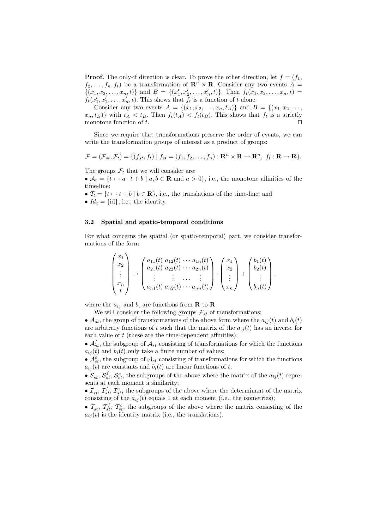**Proof.** The only-if direction is clear. To prove the other direction, let  $f = (f_1, f_2)$  $f_2,\ldots,f_n,f_t$  be a transformation of  $\mathbf{R}^n\times\mathbf{R}$ . Consider any two events  $A=$  $\{(x_1, x_2, \ldots, x_n, t)\}\$ and  $B = \{(x'_1, x'_2, \ldots, x'_n, t)\}\$ . Then  $f_t(x_1, x_2, \ldots, x_n, t) =$  $f_t(x'_1, x'_2, \ldots, x'_n, t)$ . This shows that  $f_t$  is a function of t alone.

Consider any two events  $A = \{(x_1, x_2,...,x_n, t_A)\}\$ and  $B = \{(x_1, x_2,...,x_n, t_A)\}\$  $x_n, t_B$ } with  $t_A < t_B$ . Then  $f_t(t_A) < f_t(t_B)$ . This shows that  $f_t$  is a strictly monotone function of  $t$ .

Since we require that transformations preserve the order of events, we can write the transformation groups of interest as a product of groups:

$$
\mathcal{F}=(\mathcal{F}_{st},\mathcal{F}_t)=\{(f_{st},f_t)\mid f_{st}=(f_1,f_2,\ldots,f_n):\mathbf{R}^n\times\mathbf{R}\to\mathbf{R}^n,\ f_t:\mathbf{R}\to\mathbf{R}\}.
$$

The groups  $\mathcal{F}_t$  that we will consider are:

•  $A_t = \{t \mapsto a \cdot t + b \mid a, b \in \mathbf{R} \text{ and } a > 0\}$ , i.e., the monotone affinities of the time-line;

•  $\mathcal{T}_t = \{t \mapsto t + b \mid b \in \mathbf{R}\},\$ i.e., the translations of the time-line; and

•  $Id_t = \{\text{id}\}, \text{ i.e., the identity.}$ 

### **3.2 Spatial and spatio-temporal conditions**

For what concerns the spatial (or spatio-temporal) part, we consider transformations of the form:

$$
\begin{pmatrix} x_1 \\ x_2 \\ \vdots \\ x_n \\ t \end{pmatrix} \mapsto \begin{pmatrix} a_{11}(t) & a_{12}(t) & \cdots & a_{1n}(t) \\ a_{21}(t) & a_{22}(t) & \cdots & a_{2n}(t) \\ \vdots & \vdots & \cdots & \vdots \\ a_{n1}(t) & a_{n2}(t) & \cdots & a_{nn}(t) \end{pmatrix} \cdot \begin{pmatrix} x_1 \\ x_2 \\ \vdots \\ x_n \end{pmatrix} + \begin{pmatrix} b_1(t) \\ b_2(t) \\ \vdots \\ b_n(t) \end{pmatrix},
$$

where the  $a_{ij}$  and  $b_i$  are functions from **R** to **R**.

We will consider the following groups  $\mathcal{F}_{st}$  of transformations:

•  $\mathcal{A}_{st}$ , the group of transformations of the above form where the  $a_{ij}(t)$  and  $b_i(t)$ are arbitrary functions of t such that the matrix of the  $a_{ij}(t)$  has an inverse for each value of  $t$  (these are the time-dependent affinities);

•  $\mathcal{A}_{st}^f$ , the subgroup of  $\mathcal{A}_{st}$  consisting of transformations for which the functions  $a_{ij}(t)$  and  $b_i(t)$  only take a finite number of values;

•  $\mathcal{A}^c_{st}$ , the subgroup of  $\mathcal{A}_{st}$  consisting of transformations for which the functions  $a_{ij}(t)$  are constants and  $b_i(t)$  are linear functions of t;

•  $S_{st}$ ,  $S_{st}^f$ ,  $S_{st}^c$ , the subgroups of the above where the matrix of the  $a_{ij}(t)$  represents at each moment a similarity;

•  $\mathcal{I}_{st}, \mathcal{I}_{st}^f, \mathcal{I}_{st}^c$ , the subgroups of the above where the determinant of the matrix consisting of the  $a_{ij}(t)$  equals 1 at each moment (i.e., the isometries);

•  $\mathcal{T}_{st}$ ,  $\mathcal{T}_{st}^f$ ,  $\mathcal{T}_{st}^c$ , the subgroups of the above where the matrix consisting of the  $a_{ij}(t)$  is the identity matrix (i.e., the translations).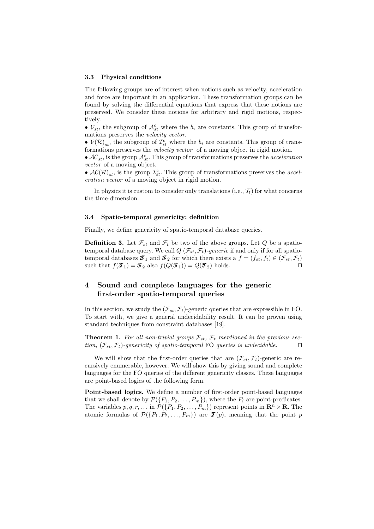#### **3.3 Physical conditions**

The following groups are of interest when notions such as velocity, acceleration and force are important in an application. These transformation groups can be found by solving the differential equations that express that these notions are preserved. We consider these notions for arbitrary and rigid motions, respectively.

•  $\mathcal{V}_{st}$ , the subgroup of  $\mathcal{A}_{st}^c$  where the  $b_i$  are constants. This group of transformations preserves the *velocity vector*.

•  $\mathcal{V}(\mathcal{R})_{st}$ , the subgroup of  $\mathcal{I}_{st}^c$  where the  $b_i$  are constants. This group of transformations preserves the *velocity vector* of a moving object in rigid motion.

 $\bullet$   $\mathcal{AC}_{st},$  is the group  $\mathcal{A}_{st}^c.$  This group of transformations preserves the  $acceleration$ *vector* of a moving object.

•  $AC(\mathcal{R})_{st}$ , is the group  $\mathcal{I}_{st}^c$ . This group of transformations preserves the *acceleration vector* of a moving object in rigid motion.

In physics it is custom to consider only translations (i.e.,  $\mathcal{T}_t$ ) for what concerns the time-dimension.

## **3.4 Spatio-temporal genericity: definition**

Finally, we define genericity of spatio-temporal database queries.

**Definition 3.** Let  $\mathcal{F}_{st}$  and  $\mathcal{F}_t$  be two of the above groups. Let Q be a spatiotemporal database query. We call  $Q(\mathcal{F}_{st}, \mathcal{F}_t)$ -generic if and only if for all spatiotemporal databases  $\mathcal{F}_1$  and  $\mathcal{F}_2$  for which there exists a  $f = (f_{st}, f_t) \in (\mathcal{F}_{st}, \mathcal{F}_t)$ such that  $f(\mathcal{F}_1) = \mathcal{F}_2$  also  $f(Q(\mathcal{F}_1)) = Q(\mathcal{F}_2)$  holds.

# **4 Sound and complete languages for the generic first-order spatio-temporal queries**

In this section, we study the  $(\mathcal{F}_{st}, \mathcal{F}_t)$ -generic queries that are expressible in FO. To start with, we give a general undecidability result. It can be proven using standard techniques from constraint databases [19].

**Theorem 1.** For all non-trivial groups  $\mathcal{F}_{st}$ ,  $\mathcal{F}_t$  mentioned in the previous sec*tion,*  $(\mathcal{F}_{st}, \mathcal{F}_t)$ -genericity of spatio-temporal FO queries is undecidable.

We will show that the first-order queries that are  $(\mathcal{F}_{st}, \mathcal{F}_t)$ -generic are recursively enumerable, however. We will show this by giving sound and complete languages for the FO queries of the different genericity classes. These languages are point-based logics of the following form.

**Point-based logics.** We define a number of first-order point-based languages that we shall denote by  $\mathcal{P}(\lbrace P_1, P_2, \ldots, P_m \rbrace)$ , where the  $P_i$  are point-predicates. The variables  $p, q, r, \ldots$  in  $\mathcal{P}(\{P_1, P_2, \ldots, P_m\})$  represent points in  $\mathbb{R}^n \times \mathbb{R}$ . The atomic formulas of  $\mathcal{P}(\lbrace P_1, P_2, \ldots, P_m \rbrace)$  are  $\mathcal{F}(p)$ , meaning that the point p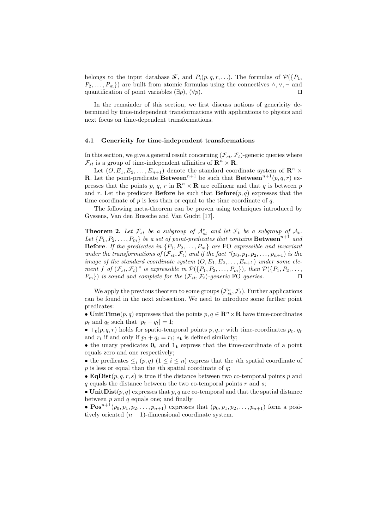belongs to the input database  $\mathcal{F}$ , and  $P_i(p,q,r,\ldots)$ . The formulas of  $\mathcal{P}(\lbrace P_1,\rbrace)$  $P_2,\ldots,P_m$ }) are built from atomic formulas using the connectives ∧,  $\vee$ ,  $\neg$  and quantification of point variables  $(\exists p)$ ,  $(\forall p)$ .

In the remainder of this section, we first discuss notions of genericity determined by time-independent transformations with applications to physics and next focus on time-dependent transformations.

## **4.1 Genericity for time-independent transformations**

In this section, we give a general result concerning  $(\mathcal{F}_{st}, \mathcal{F}_t)$ -generic queries where  $\mathcal{F}_{st}$  is a group of time-independent affinities of  $\mathbb{R}^n \times \mathbb{R}$ .

Let  $(O, E_1, E_2, \ldots, E_{n+1})$  denote the standard coordinate system of  $\mathbb{R}^n$  × **R**. Let the point-predicate **Between**<sup>n+1</sup> be such that **Between**<sup>n+1</sup>(p, q, r) expresses that the points p, q, r in  $\mathbb{R}^n \times \mathbb{R}$  are collinear and that q is between p and r. Let the predicate **Before** be such that **Before** $(p, q)$  expresses that the time coordinate of  $p$  is less than or equal to the time coordinate of  $q$ .

The following meta-theorem can be proven using techniques introduced by Gyssens, Van den Bussche and Van Gucht [17].

**Theorem 2.** Let  $\mathcal{F}_{st}$  be a subgroup of  $\mathcal{A}_{st}^c$  and let  $\mathcal{F}_t$  be a subgroup of  $\mathcal{A}_t$ . Let  $\{P_1, P_2, \ldots, P_m\}$  *be a set of point-predicates that contains* **Between**<sup>n+1</sup> *and* **Before***. If the predicates in*  $\{P_1, P_2, \ldots, P_m\}$  *are* FO *expressible and invariant under the transformations of*  $(\mathcal{F}_{st}, \mathcal{F}_t)$  *and if the fact*  $\llbracket p_0, p_1, p_2, \ldots, p_{n+1} \rrbracket$  *is the image of the standard coordinate system*  $(O, E_1, E_2, \ldots, E_{n+1})$  *under some element* f of  $(\mathcal{F}_{st}, \mathcal{F}_t)$ " is expressible in  $\mathcal{P}(\{P_1, P_2, \ldots, P_m\})$ , then  $\mathcal{P}(\{P_1, P_2, \ldots, P_m\})$  $P_m$ }) *is sound and complete for the*  $(\mathcal{F}_{st}, \mathcal{F}_t)$ *-generic* FO *queries.* 

We apply the previous theorem to some groups  $(\mathcal{F}^c_{st}, \mathcal{F}_t)$ . Further applications can be found in the next subsection. We need to introduce some further point predicates:

• **UnitTime** $(p, q)$  expresses that the points  $p, q \in \mathbb{R}^n \times \mathbb{R}$  have time-coordinates  $p_t$  and  $q_t$  such that  $|p_t - q_t| = 1$ ;

 $\bullet +_{\mathbf{t}}(p,q,r)$  holds for spatio-temporal points p, q, r with time-coordinates p<sub>t</sub>, q<sub>t</sub> and  $r_t$  if and only if  $p_t + q_t = r_t$ ; \*t is defined similarly;

• the unary predicates **0<sup>t</sup>** and **1<sup>t</sup>** express that the time-coordinate of a point equals zero and one respectively;

• the predicates  $\leq_i (p,q)$   $(1 \leq i \leq n)$  express that the *i*th spatial coordinate of  $p$  is less or equal than the *i*th spatial coordinate of  $q$ ;

• **EqDist** $(p, q, r, s)$  is true if the distance between two co-temporal points p and q equals the distance between the two co-temporal points  $r$  and  $s$ ;

• **UnitDist** $(p, q)$  expresses that p, q are co-temporal and that the spatial distance between  $p$  and  $q$  equals one; and finally

• **Pos**<sup>n+1</sup> $(p_0, p_1, p_2, \ldots, p_{n+1})$  expresses that  $(p_0, p_1, p_2, \ldots, p_{n+1})$  form a positively oriented  $(n + 1)$ -dimensional coordinate system.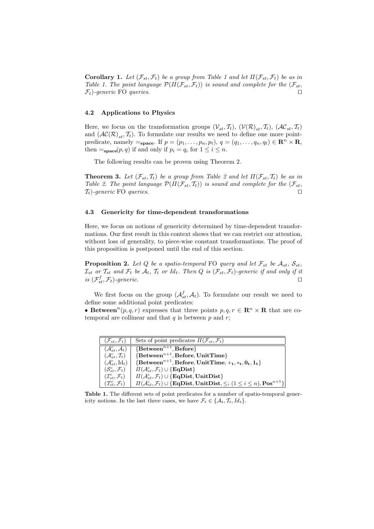**Corollary 1.** Let  $(\mathcal{F}_{st}, \mathcal{F}_t)$  be a group from Table 1 and let  $\Pi(\mathcal{F}_{st}, \mathcal{F}_t)$  be as in *Table 1. The point language*  $\mathcal{P}(\Pi(\mathcal{F}_{st}, \mathcal{F}_t))$  *is sound and complete for the*  $(\mathcal{F}_{st}, \mathcal{F}_{st})$  $\mathcal{F}_t$ )-generic FO queries.

## **4.2 Applications to Physics**

Here, we focus on the transformation groups  $(\mathcal{V}_{st}, \mathcal{T}_t)$ ,  $(\mathcal{V}(\mathcal{R})_{st}, \mathcal{T}_t)$ ,  $(\mathcal{AC}_{st}, \mathcal{T}_t)$ and  $(\mathcal{AC}(\mathcal{R})_{st}, \mathcal{T}_t)$ . To formulate our results we need to define one more pointpredicate, namely  $=_{\text{space}}$ . If  $p = (p_1, \ldots, p_n, p_t), q = (q_1, \ldots, q_n, q_t) \in \mathbb{R}^n \times \mathbb{R}$ , then  $=\text{space}(p, q)$  if and only if  $p_i = q_i$  for  $1 \leq i \leq n$ .

The following results can be proven using Theorem 2.

**Theorem 3.** Let  $(\mathcal{F}_{st}, \mathcal{T}_t)$  be a group from Table 2 and let  $\Pi(\mathcal{F}_{st}, \mathcal{T}_t)$  be as in *Table 2. The point language*  $\mathcal{P}(\Pi(\mathcal{F}_{st}, \mathcal{T}_t))$  *is sound and complete for the*  $(\mathcal{F}_{st}, \mathcal{T}_t)$  $\mathcal{T}_t$ )-generic FO queries.

## **4.3 Genericity for time-dependent transformations**

Here, we focus on notions of genericity determined by time-dependent transformations. Our first result in this context shows that we can restrict our attention, without loss of generality, to piece-wise constant transformations. The proof of this proposition is postponed until the end of this section.

**Proposition 2.** Let Q be a spatio-temporal FO query and let  $\mathcal{F}_{st}$  be  $\mathcal{A}_{st}$ ,  $\mathcal{S}_{st}$ ,  $\mathcal{I}_{st}$  *or*  $\mathcal{I}_{st}$  *and*  $\mathcal{F}_{t}$  *be*  $\mathcal{A}_{t}$ *,*  $\mathcal{T}_{t}$  *or Id<sub>t</sub>.* Then Q *is* ( $\mathcal{F}_{st}$ *,* $\mathcal{F}_{t}$ *)*-generic if and only if it *is*  $(\mathcal{F}^f_{st}, \mathcal{F}_t)$ *-generic.* 

We first focus on the group  $(\mathcal{A}_{st}^f, \mathcal{A}_t)$ . To formulate our result we need to define some additional point predicates:

• **Between**<sup>n</sup> $(p, q, r)$  expresses that three points  $p, q, r \in \mathbb{R}^n \times \mathbb{R}$  that are cotemporal are collinear and that  $q$  is between  $p$  and  $r$ ;

| $(\mathcal{F}_{st},\mathcal{F}_t)$    | Sets of point predicates $\Pi(\mathcal{F}_{st}, \mathcal{F}_t)$                                               |
|---------------------------------------|---------------------------------------------------------------------------------------------------------------|
| $(\mathcal{A}_{st}^c, \mathcal{A}_t)$ | ${Between}^{n+1}, Before}$                                                                                    |
| $(\mathcal{A}^c_{st},\mathcal{T}_t)$  | ${Betweenn+1, Before, UnitTime}$                                                                              |
| $(\mathcal{A}_{st}^c,\mathrm{Id}_t)$  | ${Between^{n+1}, Before, UnitTime, +_t, *_t, 0_t, 1_t}$                                                       |
| $(\mathcal{S}^c_{st},\mathcal{F}_t)$  | $\Pi(\mathcal{A}_{st}^c, \mathcal{F}_t) \cup {\bf \{EqDist\}}$                                                |
| $(\mathcal{I}_{st}^c, \mathcal{F}_t)$ | $\Pi(\mathcal{A}_{st}^c, \mathcal{F}_t) \cup \{\textbf{EqDist}, \textbf{UnitDist}\}\$                         |
| $(\mathcal{T}_{st}^c, \mathcal{F}_t)$ | $\Pi(\mathcal{A}_{st}^c, \mathcal{F}_t) \cup {\bf \{EqDist, UnitDist, \leq_i (1 \leq i \leq n), Pos^{n+1}\}}$ |
|                                       |                                                                                                               |

**Table 1.** The different sets of point predicates for a number of spatio-temporal genericity notions. In the last three cases, we have  $\mathcal{F}_t \in \{A_t, T_t, Id_t\}.$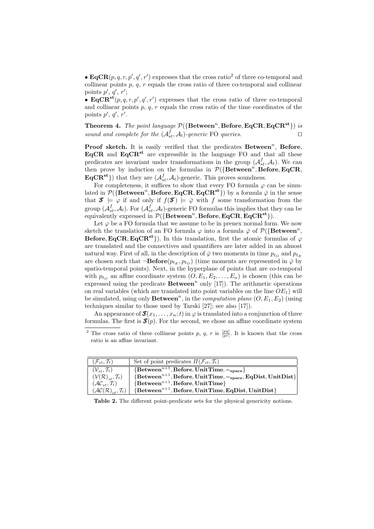• **EqCR**( $p, q, r, p', q', r'$ ) expresses that the cross ratio<sup>2</sup> of three co-temporal and collinear points  $p, q, r$  equals the cross ratio of three co-temporal and collinear points  $p', q', r'$ ;

• **EqCR**<sup>st</sup> $(p, q, r, p', q', r')$  expresses that the cross ratio of three co-temporal and collinear points  $p, q, r$  equals the cross ratio of the time coordinates of the points  $p', q', r'.$ 

**Theorem 4.** *The point language*  $P({}$ **Between**<sup>n</sup>, **Before**, **EqCR**, **EqCR**<sup>st</sup>}) *is sound and complete for the*  $(\mathcal{A}_{st}^f, \mathcal{A}_t)$ *-generic* FO *queries.* 

**Proof sketch.** It is easily verified that the predicates  $B$ etween<sup>n</sup>,  $B$ efore, **EqCR** and **EqCRst** are expressible in the language FO and that all these predicates are invariant under transformations in the group  $(\mathcal{A}^f_{st}, \mathcal{A}_t)$ . We can then prove by induction on the formulas in  $P({\textbf{Between}}^n, {\textbf{Before}}, {\textbf{EqCR}},$  $EqCR<sup>st</sup>$ ) that they are  $(A<sub>st</sub><sup>f</sup>, A<sub>t</sub>)$ -generic. This proves soundness.

For completeness, it suffices to show that every FO formula  $\varphi$  can be simulated in  $\mathcal{P}(\{\text{Between}^n, \text{Before}, \text{EqCR}, \text{EqCR}^{\text{st}}\})$  by a formula  $\bar{\varphi}$  in the sense that  $\mathcal{F} \models \varphi$  if and only if  $f(\mathcal{F}) \models \bar{\varphi}$  with f some transformation from the group  $(\mathcal{A}^f_{st}, \mathcal{A}_t)$ . For  $(\mathcal{A}^f_{st}, \mathcal{A}_t)$ -generic FO formulas this implies that they can be equivalently expressed in  $P({$ **Between**<sup>n</sup>, **Before**, **EqCR**, **EqCR**<sup>st</sup> $})$ .

Let  $\varphi$  be a FO formula that we assume to be in prenex normal form. We now sketch the translation of an FO formula  $\varphi$  into a formula  $\bar{\varphi}$  of  $\mathcal{P}(\{\text{Between}^n,$ **Before, EqCR, EqCR<sup>st</sup>}**). In this translation, first the atomic formulas of  $\varphi$ are translated and the connectives and quantifiers are later added in an almost natural way. First of all, in the description of  $\bar{\varphi}$  two moments in time  $p_{t_O}$  and  $p_{t_E}$ are chosen such that  $\neg \mathbf{Before}(p_{t_E}, p_{t_O})$  (time moments are represented in  $\bar{\varphi}$  by spatio-temporal points). Next, in the hyperplane of points that are co-temporal with  $p_{t_0}$  an affine coordinate system  $(O, E_1, E_2, \ldots, E_n)$  is chosen (this can be expressed using the predicate  $\textbf{Between}^n$  only [17]). The arithmetic operations on real variables (which are translated into point variables on the line  $OE<sub>1</sub>$ ) will be simulated, using only  $\textbf{Between}^n$ , in the *computation plane*  $(O, E_1, E_2)$  (using techniques similar to those used by Tarski [27]; see also [17]).

An appearance of  $\mathfrak{F}(x_1,\ldots,x_n;t)$  in  $\varphi$  is translated into a conjunction of three formulas. The first is  $\mathfrak{F}(p)$ . For the second, we chose an affine coordinate system

<sup>&</sup>lt;sup>2</sup> The cross ratio of three collinear points p, q, r is  $\frac{|pq|}{|pr|}$ . It is known that the cross ratio is an affine invariant.

| $\{Between^{n+1}, Before, UnitTime, =_{space}\}$<br>$(\mathcal{V}_{st},\mathcal{T}_t)$                                                          |  |
|-------------------------------------------------------------------------------------------------------------------------------------------------|--|
| $\{$ Between <sup>n+1</sup> , Before, UnitTime, $=$ <sub>space</sub> , EqDist, UnitDist $\}$<br>$(\mathcal{V}(\mathcal{R})_{st},\mathcal{T}_t)$ |  |
| ${Betweenn+1, Before, UnitTime}$<br>$(\mathcal{AC}_{st},\mathcal{T}_t)$                                                                         |  |
| ${Betweenn+1, Before, UnitTime, EqDist, UnitDist}$<br>$(\mathcal{AC}(\mathcal{R})_{st},\mathcal{T}_t)$                                          |  |

**Table 2.** The different point-predicate sets for the physical genericity notions.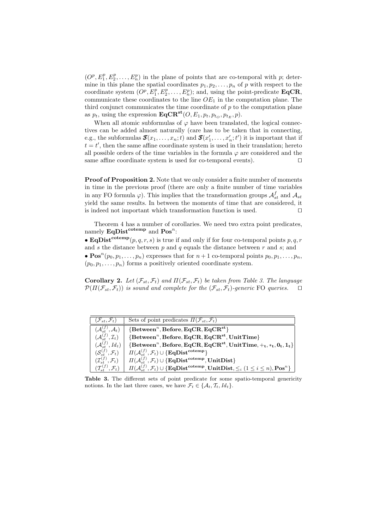$(O^p, E_1^p, E_2^p, \ldots, E_n^p)$  in the plane of points that are co-temporal with p; determine in this plane the spatial coordinates  $p_1, p_2, \ldots, p_n$  of p with respect to the coordinate system  $(O^p, E_1^p, E_2^p, \ldots, E_n^p)$ ; and, using the point-predicate **EqCR**, communicate these coordinates to the line  $OE<sub>1</sub>$  in the computation plane. The third conjunct communicates the time coordinate of  $p$  to the computation plane as  $p_t$ , using the expression  $\mathbf{EqCR}^{\mathbf{st}}(O, E_1, p_t, p_{t_O}, p_{t_E}, p)$ .

When all atomic subformulas of  $\varphi$  have been translated, the logical connectives can be added almost naturally (care has to be taken that in connecting, e.g., the subformulas  $\mathfrak{F}(x_1,\ldots,x_n;t)$  and  $\mathfrak{F}(x'_1,\ldots,x'_n;t')$  it is important that if  $t = t'$ , then the same affine coordinate system is used in their translation; hereto all possible orders of the time variables in the formula  $\varphi$  are considered and the same affine coordinate system is used for co-temporal events).

**Proof of Proposition 2.** Note that we only consider a finite number of moments in time in the previous proof (there are only a finite number of time variables in any FO formula  $\varphi$ ). This implies that the transformation groups  $\mathcal{A}^f_{st}$  and  $\mathcal{A}_{st}$ yield the same results. In between the moments of time that are considered, it is indeed not important which transformation function is used.

Theorem 4 has a number of corollaries. We need two extra point predicates, namely **EqDist<sup>cotemp</sup>** and  $\text{Pos}^n$ :

• **EqDist<sup>cotemp</sup>** $(p, q, r, s)$  is true if and only if for four co-temporal points  $p, q, r$ and s the distance between  $p$  and  $q$  equals the distance between  $r$  and  $s$ ; and • **Pos**<sup>n</sup> $(p_0, p_1, \ldots, p_n)$  expresses that for  $n+1$  co-temporal points  $p_0, p_1, \ldots, p_n$ ,  $(p_0, p_1, \ldots, p_n)$  forms a positively oriented coordinate system.

**Corollary 2.** Let  $(\mathcal{F}_{st}, \mathcal{F}_t)$  and  $\Pi(\mathcal{F}_{st}, \mathcal{F}_t)$  be taken from Table 3. The language  $\mathcal{P}(\Pi(\mathcal{F}_{st}, \mathcal{F}_t))$  *is sound and complete for the*  $(\mathcal{F}_{st}, \mathcal{F}_t)$ *-generic* FO *queries.*  $\square$ 

| $(\mathcal{F}_{st},\mathcal{F}_t)$                      | Sets of point predicates $\Pi(\mathcal{F}_{st}, \mathcal{F}_t)$                                                                                            |
|---------------------------------------------------------|------------------------------------------------------------------------------------------------------------------------------------------------------------|
| $(\mathcal{A}_{st}^{\left( J\right) },\mathcal{A}_{t})$ | ${Betweenn, Before, EqCR, EqCRst}$                                                                                                                         |
| $(\mathcal{A}^{(f)}_{st},\mathcal{I}_t)$                | ${Betweenn, Before, EqCR, EqCRst, UnitTime}$                                                                                                               |
| $(\mathcal{A}_{st}^{(f)},Id_t)$                         | ${ \{ \text{Between}^n, \text{Before}, \text{EqCR}, \text{EqCR}^{\text{st}}, \text{UnitTime}, +_{\text{t}}, *_{\text{t}}, 0_{\text{t}}, 1_{\text{t}} \} }$ |
| $(\mathcal{S}^{(f)}_{st},\mathcal{F}_t)$                | $\Pi(\mathcal{A}_{st}^{(f)},\mathcal{F}_t)\cup\{\textbf{EqDist}^{\textbf{cotemp}}\}\$                                                                      |
| $(\mathcal{I}_{st}^{(f)}, \mathcal{F}_t)$               | $\Pi(\mathcal{A}_{st}^{(f)},\mathcal{F}_t) \cup \{\textbf{EqDist}^{\textbf{cotemp}}, \textbf{UnitDist}\}\$                                                 |
| $(\mathcal{T}_{st}^{(f)}, \mathcal{F}_t)$               | $\Pi(\mathcal{A}_{st}^{(f)}, \mathcal{F}_t) \cup \{\textbf{EqDist}^{\textbf{cotemp}}, \textbf{UnitDist}, \leq_i (1 \leq i \leq n), \textbf{Pos}^n\}\$      |

**Table 3.** The different sets of point predicate for some spatio-temporal genericity notions. In the last three cases, we have  $\mathcal{F}_t \in \{A_t, T_t, Id_t\}.$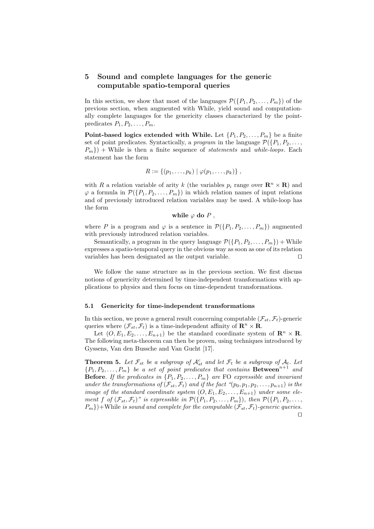# **5 Sound and complete languages for the generic computable spatio-temporal queries**

In this section, we show that most of the languages  $\mathcal{P}(\lbrace P_1, P_2, \ldots, P_m \rbrace)$  of the previous section, when augmented with While, yield sound and computationally complete languages for the genericity classes characterized by the pointpredicates  $P_1, P_2, \ldots, P_m$ .

**Point-based logics extended with While.** Let  $\{P_1, P_2, \ldots, P_m\}$  be a finite set of point predicates. Syntactically, a *program* in the language  $\mathcal{P}(\lbrace P_1, P_2, \ldots, P_n \rbrace)$  $P_m$ }) + While is then a finite sequence of *statements* and *while-loops*. Each statement has the form

$$
R:=\{(p_1,\ldots,p_k)\mid \varphi(p_1,\ldots,p_k)\}\,
$$

with R a relation variable of arity k (the variables  $p_i$  range over  $\mathbb{R}^n \times \mathbb{R}$ ) and  $\varphi$  a formula in  $\mathcal{P}(\lbrace P_1, P_2, \ldots, P_m \rbrace)$  in which relation names of input relations and of previously introduced relation variables may be used. A while-loop has the form

while 
$$
\varphi
$$
 do  $P$ ,

where P is a program and  $\varphi$  is a sentence in  $\mathcal{P}(\lbrace P_1, P_2, \ldots, P_m \rbrace)$  augmented with previously introduced relation variables.

Semantically, a program in the query language  $\mathcal{P}(\lbrace P_1, P_2, \ldots, P_m \rbrace)$  + While expresses a spatio-temporal query in the obvious way as soon as one of its relation variables has been designated as the output variable.

We follow the same structure as in the previous section. We first discuss notions of genericity determined by time-independent transformations with applications to physics and then focus on time-dependent transformations.

## **5.1 Genericity for time-independent transformations**

In this section, we prove a general result concerning computable  $(\mathcal{F}_{st}, \mathcal{F}_t)$ -generic queries where  $(\mathcal{F}_{st}, \mathcal{F}_t)$  is a time-independent affinity of  $\mathbb{R}^n \times \mathbb{R}$ .

Let  $(O, E_1, E_2, \ldots, E_{n+1})$  be the standard coordinate system of  $\mathbb{R}^n \times \mathbb{R}$ . The following meta-theorem can then be proven, using techniques introduced by Gyssens, Van den Bussche and Van Gucht [17].

**Theorem 5.** Let  $\mathcal{F}_{st}$  be a subgroup of  $\mathcal{A}_{st}^c$  and let  $\mathcal{F}_t$  be a subgroup of  $\mathcal{A}_t$ . Let  ${P_1, P_2, \ldots, P_m}$  *be a set of point predicates that contains* **Between**<sup>n+1</sup> *and* **Before***. If the predicates in*  $\{P_1, P_2, \ldots, P_m\}$  *are* FO *expressible and invariant under the transformations of*  $(\mathcal{F}_{st}, \mathcal{F}_t)$  *and if the fact* " $(p_0, p_1, p_2, \ldots, p_{n+1})$  *is the image of the standard coordinate system*  $(O, E_1, E_2, \ldots, E_{n+1})$  *under some element* f of  $(\mathcal{F}_{st}, \mathcal{F}_t)$ " is expressible in  $\mathcal{P}(\{P_1, P_2, \ldots, P_m\})$ , then  $\mathcal{P}(\{P_1, P_2, \ldots, P_m\})$  $P_m$ })+While *is sound and complete for the computable* ( $\mathcal{F}_{st}$ ,  $\mathcal{F}_t$ )-generic queries.  $\Box$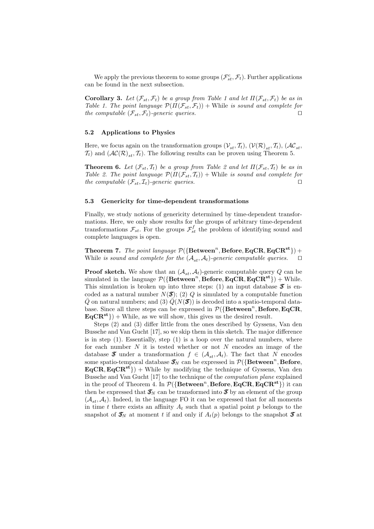We apply the previous theorem to some groups  $(\mathcal{F}^c_{st}, \mathcal{F}_t)$ . Further applications can be found in the next subsection.

**Corollary 3.** Let  $(\mathcal{F}_{st}, \mathcal{F}_t)$  be a group from Table 1 and let  $\Pi(\mathcal{F}_{st}, \mathcal{F}_t)$  be as in *Table 1. The point language*  $\mathcal{P}(H(\mathcal{F}_{st}, \mathcal{F}_t))$  + While *is sound and complete for the computable*  $(\mathcal{F}_{st}, \mathcal{F}_t)$ *-generic queries.* 

### **5.2 Applications to Physics**

Here, we focus again on the transformation groups  $(\mathcal{V}_{st}, \mathcal{T}_t), (\mathcal{V}(\mathcal{R})_{st}, \mathcal{T}_t), (\mathcal{AC}_{st},$  $T_t$ ) and  $(\mathcal{AC}(\mathcal{R})_{st}, \mathcal{T}_t)$ . The following results can be proven using Theorem 5.

**Theorem 6.** Let  $(\mathcal{F}_{st}, \mathcal{T}_t)$  be a group from Table 2 and let  $\Pi(\mathcal{F}_{st}, \mathcal{T}_t)$  be as in *Table 2. The point language*  $\mathcal{P}(\Pi(\mathcal{F}_{st}, \mathcal{T}_t))$  + While *is sound and complete for the computable*  $(\mathcal{F}_{st}, \mathcal{I}_t)$ *-generic queries.* 

### **5.3 Genericity for time-dependent transformations**

Finally, we study notions of genericity determined by time-dependent transformations. Here, we only show results for the groups of arbitrary time-dependent transformations  $\mathcal{F}_{st}$ . For the groups  $\mathcal{F}_{st}^f$  the problem of identifying sound and complete languages is open.

**Theorem 7.** *The point language*  $P({}$ **Between**<sup>n</sup>, **Before**, **EqCR**, **EqCR**<sup>st</sup>}) + While *is sound and complete for the*  $(A_{st}, A_t)$ *-generic computable queries.* 

**Proof sketch.** We show that an  $(A_{st}, A_t)$ -generic computable query Q can be simulated in the language  $P({}$ **Between**<sup>n</sup>, **Before**, **EqCR**, **EqCR**<sup>st</sup>}) + While. This simulation is broken up into three steps: (1) an input database  $\mathcal{F}$  is encoded as a natural number  $N(\mathcal{F})$ ; (2) Q is simulated by a computable function  $\overline{Q}$  on natural numbers; and (3)  $\overline{Q}(N(\mathcal{J}))$  is decoded into a spatio-temporal database. Since all three steps can be expressed in  $P({}$ **Between**<sup>n</sup>, **Before**, **EqCR**,  $EqCR<sup>st</sup>$ ) + While, as we will show, this gives us the desired result.

Steps (2) and (3) differ little from the ones described by Gyssens, Van den Bussche and Van Gucht [17], so we skip them in this sketch. The major difference is in step  $(1)$ . Essentially, step  $(1)$  is a loop over the natural numbers, where for each number  $N$  it is tested whether or not  $N$  encodes an image of the database **S** under a transformation  $f \in (\mathcal{A}_{st}, \mathcal{A}_t)$ . The fact that N encodes some spatio-temporal database  $\mathscr{F}_N$  can be expressed in  $\mathcal{P}(\{\text{Between}^n, \text{Before}, \text{)}\})$  $EqCR, EqCR<sup>st</sup>\rangle$ ) + While by modifying the technique of Gyssens, Van den Bussche and Van Gucht [17] to the technique of the *computation plane* explained in the proof of Theorem 4. In  $P({}$ **Between**<sup>n</sup>, **Before**, **EqCR**, **EqCR**<sup>st</sup>}) it can then be expressed that  $\mathcal{F}_N$  can be transformed into  $\mathcal{F}$  by an element of the group  $(\mathcal{A}_{st}, \mathcal{A}_t)$ . Indeed, in the language FO it can be expressed that for all moments in time t there exists an affinity  $A_t$  such that a spatial point p belongs to the snapshot of  $\mathfrak{F}_N$  at moment t if and only if  $A_t(p)$  belongs to the snapshot  $\mathfrak{F}$  at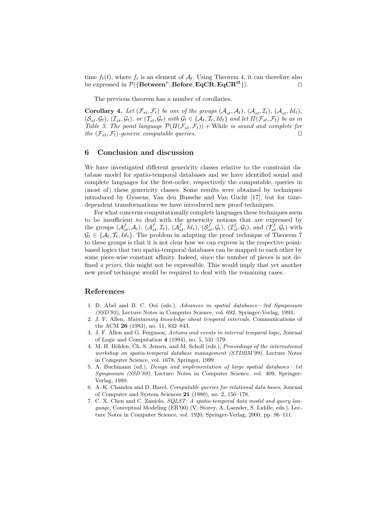time  $f_t(t)$ , where  $f_t$  is an element of  $A_t$ . Using Theorem 4, it can therefore also be expressed in  $\mathcal{P}(\{\text{Between}^n, \text{Before}, \text{EqCR}, \text{EqCR}^{\text{st}}\}).$ 

The previous theorem has a number of corollaries.

**Corollary 4.** Let  $(\mathcal{F}_{st}, \mathcal{F}_t)$  be one of the groups  $(\mathcal{A}_{st}, \mathcal{A}_t)$ ,  $(\mathcal{A}_{st}, \mathcal{I}_t)$ ,  $(\mathcal{A}_{st}, Id_t)$ ,  $(S_{st}, \mathcal{G}_t)$ *,*  $(\mathcal{I}_{st}, \mathcal{G}_t)$ *, or*  $(\mathcal{T}_{st}, \mathcal{G}_t)$  *with*  $\mathcal{G}_t \in \{\mathcal{A}_t, \mathcal{T}_t, Id_t\}$  *and let*  $\Pi(\mathcal{F}_{st}, \mathcal{F}_t)$  *be as in Table 3. The point language*  $\mathcal{P}(\Pi(\mathcal{F}_{st}, \mathcal{F}_t))$  + While *is sound and complete for the*  $(\mathcal{F}_{st}, \mathcal{F}_t)$ *-generic computable queries.* 

## **6 Conclusion and discussion**

We have investigated different genericity classes relative to the constraint database model for spatio-temporal databases and we have identified sound and complete languages for the first-order, respectively the computable, queries in (most of) these genericity classes. Some results were obtained by techniques introduced by Gyssens, Van den Bussche and Van Gucht [17], but for timedependent transformations we have introduced new proof techniques.

For what concerns computationally complete languages these techniques seem to be insufficient to deal with the genericity notions that are expressed by the groups  $(\mathcal{A}^f_{st}, \mathcal{A}_t)$ ,  $(\mathcal{A}^f_{st}, \mathcal{I}_t)$ ,  $(\mathcal{A}^f_{st}, \mathcal{I}_d)$ ,  $(\mathcal{S}^f_{st}, \mathcal{G}_t)$ ,  $(\mathcal{I}^f_{st}, \mathcal{G}_t)$ , and  $(\mathcal{T}^f_{st}, \mathcal{G}_t)$  with  $\mathcal{G}_t \in \{\mathcal{A}_t, \mathcal{T}_t, Id_t\}.$  The problem in adapting the proof technique of Theorem 7 to these groups is that it is not clear how we can express in the respective pointbased logics that two spatio-temporal databases can be mapped to each other by some piece-wise constant affinity. Indeed, since the number of pieces is not defined *a priori*, this might not be expressible. This would imply that yet another new proof technique would be required to deal with the remaining cases.

# **References**

- 1. D. Abel and B. C. Ooi (eds.), Advances in spatial databases—3rd Symposium (SSD'93), Lecture Notes in Computer Science, vol. 692, Springer-Verlag, 1993.
- 2. J. F. Allen, Maintaining knowledge about temporal intervals, Communications of the ACM **26** (1983), no. 11, 832–843.
- 3. J. F. Allen and G. Ferguson, Actions and events in interval temporal logic, Journal of Logic and Computation **4** (1994), no. 5, 531–579.
- 4. M. H. Böhlen, Ch. S. Jensen, and M. Scholl (eds.), Proceedings of the international workshop on spatio-temporal database management (STDBM'99), Lecture Notes in Computer Science, vol. 1678, Springer, 1999.
- 5. A. Buchmann (ed.), Design and implementation of large spatial databases—1st Symposium (SSD'89), Lecture Notes in Computer Science, vol. 409, Springer-Verlag, 1989.
- 6. A. K. Chandra and D. Harel, Computable queries for relational data bases, Journal of Computer and System Sciences **21** (1980), no. 2, 156–178.
- 7. C. X. Chen and C. Zaniolo, SQLST: A spatio-temporal data model and query language, Conceptual Modeling (ER'00) (V. Storey, A. Laender, S. Liddle, eds.), Lecture Notes in Computer Science, vol. 1920, Springer-Verlag, 2000, pp. 96–111.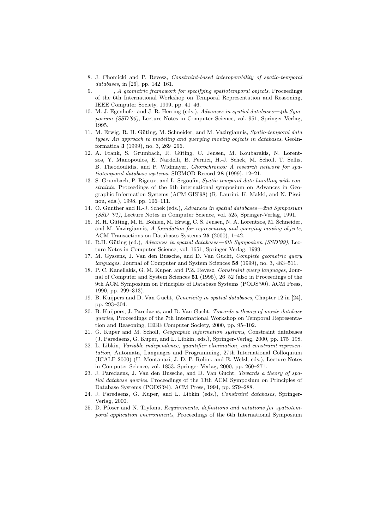- 8. J. Chomicki and P. Revesz, Constraint-based interoperability of spatio-temporal databases, in [26], pp. 142–161.
- 9.  $\_\_\_\_\$ n, A geometric framework for specifying spatiotemporal objects, Proceedings of the 6th International Workshop on Temporal Representation and Reasoning, IEEE Computer Society, 1999, pp. 41–46.
- 10. M. J. Egenhofer and J. R. Herring (eds.), Advances in spatial databases—4th Symposium (SSD'95), Lecture Notes in Computer Science, vol. 951, Springer-Verlag, 1995.
- 11. M. Erwig, R. H. Güting, M. Schneider, and M. Vazirgiannis, Spatio-temporal data types: An approach to modeling and querying moving objects in databases, GeoInformatica **3** (1999), no. 3, 269–296.
- 12. A. Frank, S. Grumbach, R. G¨uting, C. Jensen, M. Koubarakis, N. Lorentzos, Y. Manopoulos, E. Nardelli, B. Pernici, H.-J. Schek, M. Scholl, T. Sellis, B. Theodoulidis, and P. Widmayer, Chorochronos: A research network for spatiotemporal database systems, SIGMOD Record **28** (1999), 12–21.
- 13. S. Grumbach, P. Rigaux, and L. Segoufin, Spatio-temporal data handling with constraints, Proceedings of the 6th international symposium on Advances in Geographic Information Systems (ACM-GIS'98) (R. Laurini, K. Makki, and N. Pissinou, eds.), 1998, pp. 106–111.
- 14. O. Gunther and H.-J. Schek (eds.), Advances in spatial databases—2nd Symposium (SSD '91), Lecture Notes in Computer Science, vol. 525, Springer-Verlag, 1991.
- 15. R. H. Güting, M. H. Bohlen, M. Erwig, C. S. Jensen, N. A. Lorentzos, M. Schneider, and M. Vazirgiannis, A foundation for representing and querying moving objects, ACM Transactions on Databases Systems **25** (2000), 1–42.
- 16. R.H. Güting (ed.), Advances in spatial databases—6th Symposium (SSD'99), Lecture Notes in Computer Science, vol. 1651, Springer-Verlag, 1999.
- 17. M. Gyssens, J. Van den Bussche, and D. Van Gucht, Complete geometric query languages, Journal of Computer and System Sciences **58** (1999), no. 3, 483–511.
- 18. P. C. Kanellakis, G. M. Kuper, and P.Z. Revesz, Constraint query languages, Journal of Computer and System Sciences **51** (1995), 26–52 (also in Proceedings of the 9th ACM Symposium on Principles of Database Systems (PODS'90), ACM Press, 1990, pp. 299–313).
- 19. B. Kuijpers and D. Van Gucht, Genericity in spatial databases, Chapter 12 in [24], pp. 293–304.
- 20. B. Kuijpers, J. Paredaens, and D. Van Gucht, Towards a theory of movie database queries, Proceedings of the 7th International Workshop on Temporal Representation and Reasoning, IEEE Computer Society, 2000, pp. 95–102.
- 21. G. Kuper and M. Scholl, Geographic information systems, Constraint databases (J. Paredaens, G. Kuper, and L. Libkin, eds.), Springer-Verlag, 2000, pp. 175–198.
- 22. L. Libkin, Variable independence, quantifier elimination, and constraint representation, Automata, Languages and Programming, 27th International Colloquium (ICALP 2000) (U. Montanari, J. D. P. Rolim, and E. Welzl, eds.), Lecture Notes in Computer Science, vol. 1853, Springer-Verlag, 2000, pp. 260–271.
- 23. J. Paredaens, J. Van den Bussche, and D. Van Gucht, Towards a theory of spatial database queries, Proceedings of the 13th ACM Symposium on Principles of Database Systems (PODS'94), ACM Press, 1994, pp. 279–288.
- 24. J. Paredaens, G. Kuper, and L. Libkin (eds.), Constraint databases, Springer-Verlag, 2000.
- 25. D. Pfoser and N. Tryfona, Requirements, definitions and notations for spatiotemporal application environments, Proceedings of the 6th International Symposium